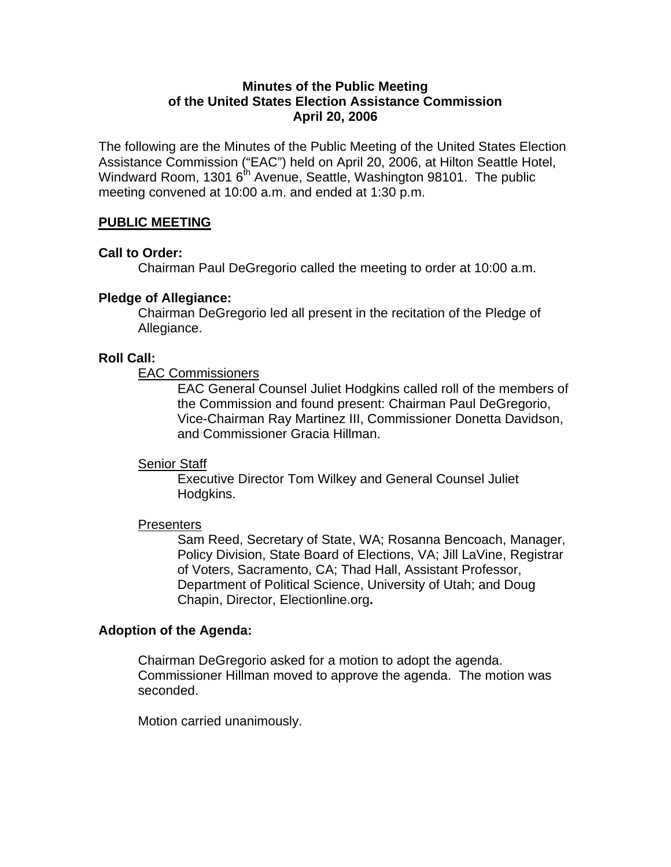## **Minutes of the Public Meeting of the United States Election Assistance Commission April 20, 2006**

The following are the Minutes of the Public Meeting of the United States Election Assistance Commission ("EAC") held on April 20, 2006, at Hilton Seattle Hotel, Windward Room, 1301  $6<sup>th</sup>$  Avenue, Seattle, Washington 98101. The public meeting convened at 10:00 a.m. and ended at 1:30 p.m.

## **PUBLIC MEETING**

## **Call to Order:**

Chairman Paul DeGregorio called the meeting to order at 10:00 a.m.

## **Pledge of Allegiance:**

Chairman DeGregorio led all present in the recitation of the Pledge of Allegiance.

## **Roll Call:**

EAC Commissioners

EAC General Counsel Juliet Hodgkins called roll of the members of the Commission and found present: Chairman Paul DeGregorio, Vice-Chairman Ray Martinez III, Commissioner Donetta Davidson, and Commissioner Gracia Hillman.

## Senior Staff

Executive Director Tom Wilkey and General Counsel Juliet Hodgkins.

## **Presenters**

Sam Reed, Secretary of State, WA; Rosanna Bencoach, Manager, Policy Division, State Board of Elections, VA; Jill LaVine, Registrar of Voters, Sacramento, CA; Thad Hall, Assistant Professor, Department of Political Science, University of Utah; and Doug Chapin, Director, Electionline.org**.** 

## **Adoption of the Agenda:**

Chairman DeGregorio asked for a motion to adopt the agenda. Commissioner Hillman moved to approve the agenda. The motion was seconded.

Motion carried unanimously.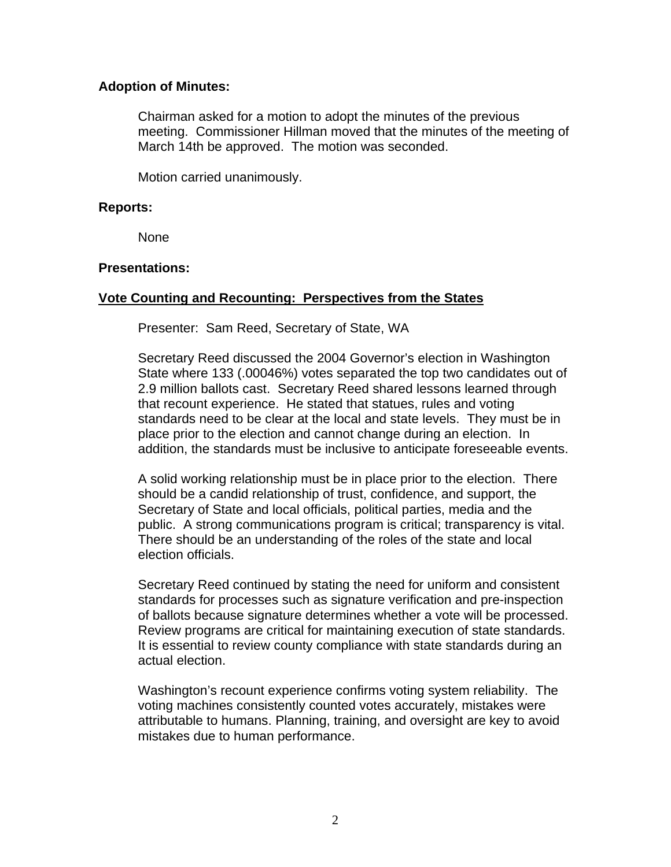## **Adoption of Minutes:**

Chairman asked for a motion to adopt the minutes of the previous meeting. Commissioner Hillman moved that the minutes of the meeting of March 14th be approved. The motion was seconded.

Motion carried unanimously.

## **Reports:**

**None** 

## **Presentations:**

# **Vote Counting and Recounting: Perspectives from the States**

Presenter: Sam Reed, Secretary of State, WA

Secretary Reed discussed the 2004 Governor's election in Washington State where 133 (.00046%) votes separated the top two candidates out of 2.9 million ballots cast. Secretary Reed shared lessons learned through that recount experience. He stated that statues, rules and voting standards need to be clear at the local and state levels. They must be in place prior to the election and cannot change during an election. In addition, the standards must be inclusive to anticipate foreseeable events.

A solid working relationship must be in place prior to the election. There should be a candid relationship of trust, confidence, and support, the Secretary of State and local officials, political parties, media and the public. A strong communications program is critical; transparency is vital. There should be an understanding of the roles of the state and local election officials.

Secretary Reed continued by stating the need for uniform and consistent standards for processes such as signature verification and pre-inspection of ballots because signature determines whether a vote will be processed. Review programs are critical for maintaining execution of state standards. It is essential to review county compliance with state standards during an actual election.

Washington's recount experience confirms voting system reliability. The voting machines consistently counted votes accurately, mistakes were attributable to humans. Planning, training, and oversight are key to avoid mistakes due to human performance.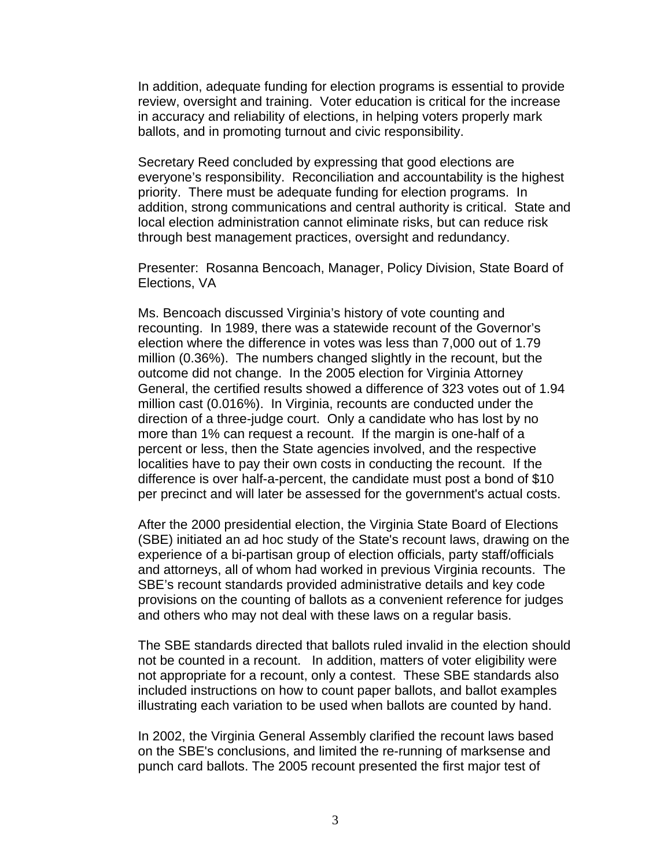In addition, adequate funding for election programs is essential to provide review, oversight and training. Voter education is critical for the increase in accuracy and reliability of elections, in helping voters properly mark ballots, and in promoting turnout and civic responsibility.

Secretary Reed concluded by expressing that good elections are everyone's responsibility. Reconciliation and accountability is the highest priority. There must be adequate funding for election programs. In addition, strong communications and central authority is critical. State and local election administration cannot eliminate risks, but can reduce risk through best management practices, oversight and redundancy.

Presenter: Rosanna Bencoach, Manager, Policy Division, State Board of Elections, VA

Ms. Bencoach discussed Virginia's history of vote counting and recounting. In 1989, there was a statewide recount of the Governor's election where the difference in votes was less than 7,000 out of 1.79 million (0.36%). The numbers changed slightly in the recount, but the outcome did not change. In the 2005 election for Virginia Attorney General, the certified results showed a difference of 323 votes out of 1.94 million cast (0.016%). In Virginia, recounts are conducted under the direction of a three-judge court. Only a candidate who has lost by no more than 1% can request a recount. If the margin is one-half of a percent or less, then the State agencies involved, and the respective localities have to pay their own costs in conducting the recount. If the difference is over half-a-percent, the candidate must post a bond of \$10 per precinct and will later be assessed for the government's actual costs.

After the 2000 presidential election, the Virginia State Board of Elections (SBE) initiated an ad hoc study of the State's recount laws, drawing on the experience of a bi-partisan group of election officials, party staff/officials and attorneys, all of whom had worked in previous Virginia recounts. The SBE's recount standards provided administrative details and key code provisions on the counting of ballots as a convenient reference for judges and others who may not deal with these laws on a regular basis.

The SBE standards directed that ballots ruled invalid in the election should not be counted in a recount. In addition, matters of voter eligibility were not appropriate for a recount, only a contest. These SBE standards also included instructions on how to count paper ballots, and ballot examples illustrating each variation to be used when ballots are counted by hand.

In 2002, the Virginia General Assembly clarified the recount laws based on the SBE's conclusions, and limited the re-running of marksense and punch card ballots. The 2005 recount presented the first major test of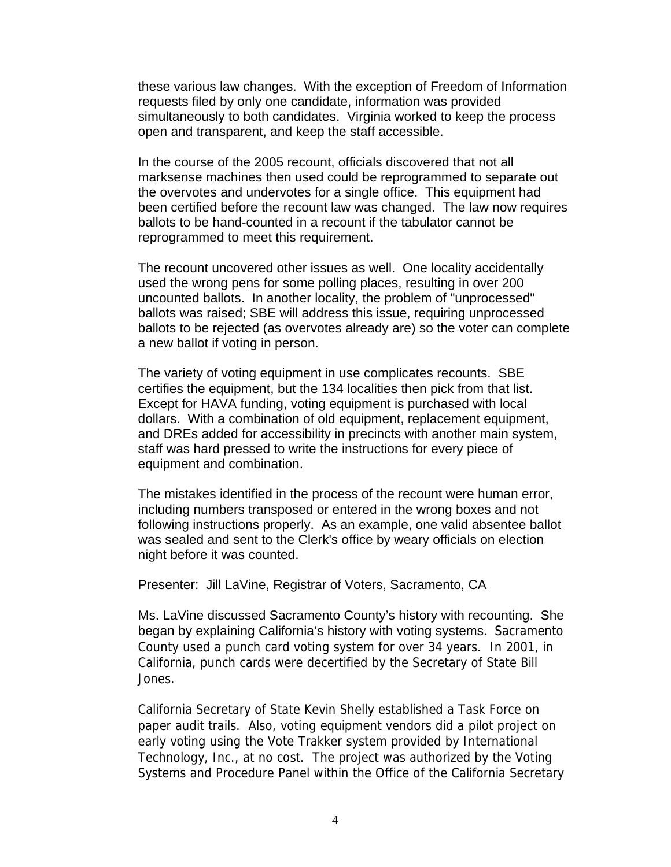these various law changes. With the exception of Freedom of Information requests filed by only one candidate, information was provided simultaneously to both candidates. Virginia worked to keep the process open and transparent, and keep the staff accessible.

In the course of the 2005 recount, officials discovered that not all marksense machines then used could be reprogrammed to separate out the overvotes and undervotes for a single office. This equipment had been certified before the recount law was changed. The law now requires ballots to be hand-counted in a recount if the tabulator cannot be reprogrammed to meet this requirement.

The recount uncovered other issues as well. One locality accidentally used the wrong pens for some polling places, resulting in over 200 uncounted ballots. In another locality, the problem of "unprocessed" ballots was raised; SBE will address this issue, requiring unprocessed ballots to be rejected (as overvotes already are) so the voter can complete a new ballot if voting in person.

The variety of voting equipment in use complicates recounts. SBE certifies the equipment, but the 134 localities then pick from that list. Except for HAVA funding, voting equipment is purchased with local dollars. With a combination of old equipment, replacement equipment, and DREs added for accessibility in precincts with another main system, staff was hard pressed to write the instructions for every piece of equipment and combination.

The mistakes identified in the process of the recount were human error, including numbers transposed or entered in the wrong boxes and not following instructions properly. As an example, one valid absentee ballot was sealed and sent to the Clerk's office by weary officials on election night before it was counted.

Presenter: Jill LaVine, Registrar of Voters, Sacramento, CA

Ms. LaVine discussed Sacramento County's history with recounting. She began by explaining California's history with voting systems. Sacramento County used a punch card voting system for over 34 years. In 2001, in California, punch cards were decertified by the Secretary of State Bill Jones.

California Secretary of State Kevin Shelly established a Task Force on paper audit trails. Also, voting equipment vendors did a pilot project on early voting using the Vote Trakker system provided by International Technology, Inc., at no cost. The project was authorized by the Voting Systems and Procedure Panel within the Office of the California Secretary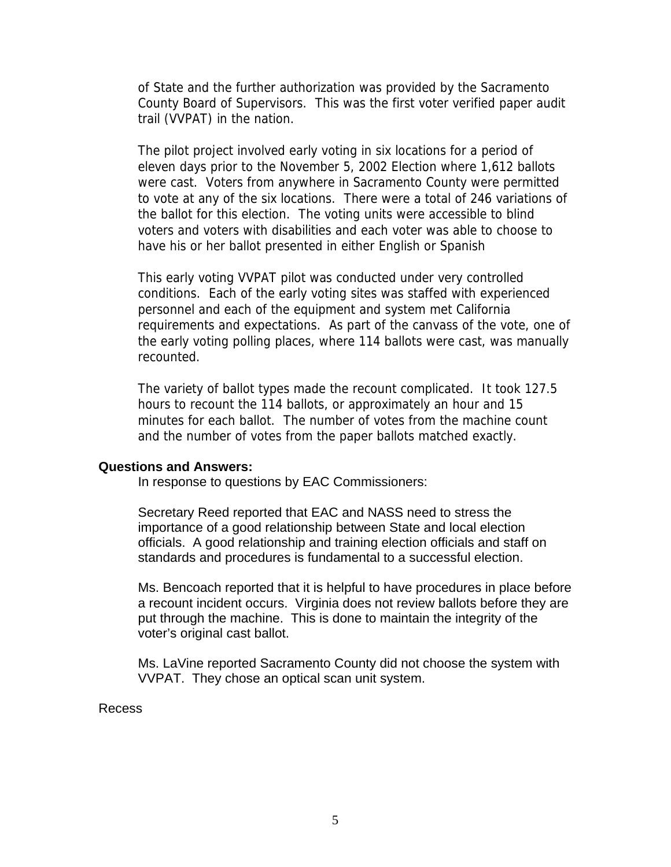of State and the further authorization was provided by the Sacramento County Board of Supervisors. This was the first voter verified paper audit trail (VVPAT) in the nation.

The pilot project involved early voting in six locations for a period of eleven days prior to the November 5, 2002 Election where 1,612 ballots were cast. Voters from anywhere in Sacramento County were permitted to vote at any of the six locations. There were a total of 246 variations of the ballot for this election. The voting units were accessible to blind voters and voters with disabilities and each voter was able to choose to have his or her ballot presented in either English or Spanish

This early voting VVPAT pilot was conducted under very controlled conditions. Each of the early voting sites was staffed with experienced personnel and each of the equipment and system met California requirements and expectations. As part of the canvass of the vote, one of the early voting polling places, where 114 ballots were cast, was manually recounted.

The variety of ballot types made the recount complicated. It took 127.5 hours to recount the 114 ballots, or approximately an hour and 15 minutes for each ballot. The number of votes from the machine count and the number of votes from the paper ballots matched exactly.

#### **Questions and Answers:**

In response to questions by EAC Commissioners:

Secretary Reed reported that EAC and NASS need to stress the importance of a good relationship between State and local election officials. A good relationship and training election officials and staff on standards and procedures is fundamental to a successful election.

Ms. Bencoach reported that it is helpful to have procedures in place before a recount incident occurs. Virginia does not review ballots before they are put through the machine. This is done to maintain the integrity of the voter's original cast ballot.

Ms. LaVine reported Sacramento County did not choose the system with VVPAT. They chose an optical scan unit system.

#### Recess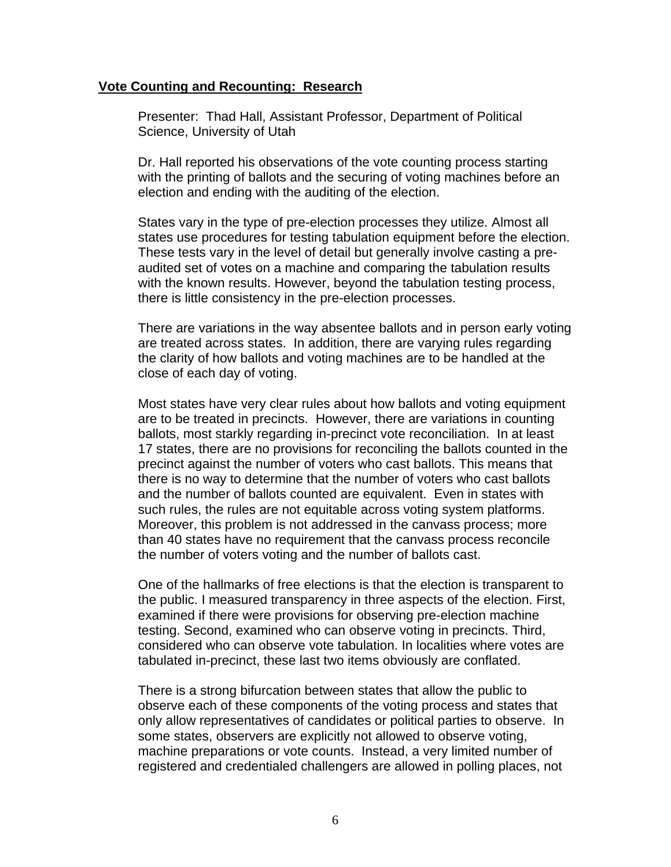#### **Vote Counting and Recounting: Research**

Presenter: Thad Hall, Assistant Professor, Department of Political Science, University of Utah

Dr. Hall reported his observations of the vote counting process starting with the printing of ballots and the securing of voting machines before an election and ending with the auditing of the election.

States vary in the type of pre-election processes they utilize. Almost all states use procedures for testing tabulation equipment before the election. These tests vary in the level of detail but generally involve casting a preaudited set of votes on a machine and comparing the tabulation results with the known results. However, beyond the tabulation testing process, there is little consistency in the pre-election processes.

There are variations in the way absentee ballots and in person early voting are treated across states. In addition, there are varying rules regarding the clarity of how ballots and voting machines are to be handled at the close of each day of voting.

Most states have very clear rules about how ballots and voting equipment are to be treated in precincts. However, there are variations in counting ballots, most starkly regarding in-precinct vote reconciliation. In at least 17 states, there are no provisions for reconciling the ballots counted in the precinct against the number of voters who cast ballots. This means that there is no way to determine that the number of voters who cast ballots and the number of ballots counted are equivalent. Even in states with such rules, the rules are not equitable across voting system platforms. Moreover, this problem is not addressed in the canvass process; more than 40 states have no requirement that the canvass process reconcile the number of voters voting and the number of ballots cast.

One of the hallmarks of free elections is that the election is transparent to the public. I measured transparency in three aspects of the election. First, examined if there were provisions for observing pre-election machine testing. Second, examined who can observe voting in precincts. Third, considered who can observe vote tabulation. In localities where votes are tabulated in-precinct, these last two items obviously are conflated.

There is a strong bifurcation between states that allow the public to observe each of these components of the voting process and states that only allow representatives of candidates or political parties to observe. In some states, observers are explicitly not allowed to observe voting, machine preparations or vote counts. Instead, a very limited number of registered and credentialed challengers are allowed in polling places, not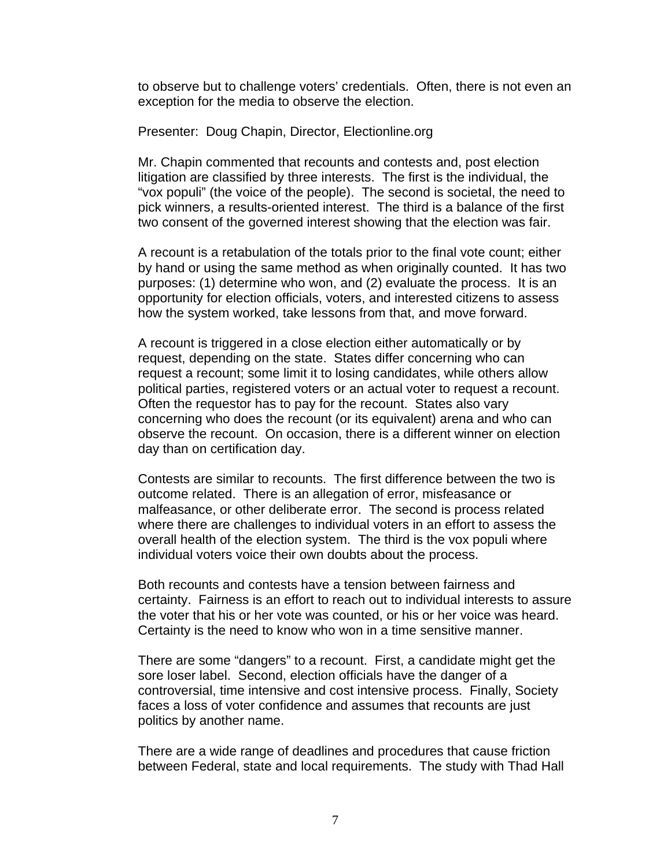to observe but to challenge voters' credentials. Often, there is not even an exception for the media to observe the election.

Presenter: Doug Chapin, Director, Electionline.org

Mr. Chapin commented that recounts and contests and, post election litigation are classified by three interests. The first is the individual, the "vox populi" (the voice of the people). The second is societal, the need to pick winners, a results-oriented interest. The third is a balance of the first two consent of the governed interest showing that the election was fair.

A recount is a retabulation of the totals prior to the final vote count; either by hand or using the same method as when originally counted. It has two purposes: (1) determine who won, and (2) evaluate the process. It is an opportunity for election officials, voters, and interested citizens to assess how the system worked, take lessons from that, and move forward.

A recount is triggered in a close election either automatically or by request, depending on the state. States differ concerning who can request a recount; some limit it to losing candidates, while others allow political parties, registered voters or an actual voter to request a recount. Often the requestor has to pay for the recount. States also vary concerning who does the recount (or its equivalent) arena and who can observe the recount. On occasion, there is a different winner on election day than on certification day.

Contests are similar to recounts. The first difference between the two is outcome related. There is an allegation of error, misfeasance or malfeasance, or other deliberate error. The second is process related where there are challenges to individual voters in an effort to assess the overall health of the election system. The third is the vox populi where individual voters voice their own doubts about the process.

Both recounts and contests have a tension between fairness and certainty. Fairness is an effort to reach out to individual interests to assure the voter that his or her vote was counted, or his or her voice was heard. Certainty is the need to know who won in a time sensitive manner.

There are some "dangers" to a recount. First, a candidate might get the sore loser label. Second, election officials have the danger of a controversial, time intensive and cost intensive process. Finally, Society faces a loss of voter confidence and assumes that recounts are just politics by another name.

There are a wide range of deadlines and procedures that cause friction between Federal, state and local requirements. The study with Thad Hall